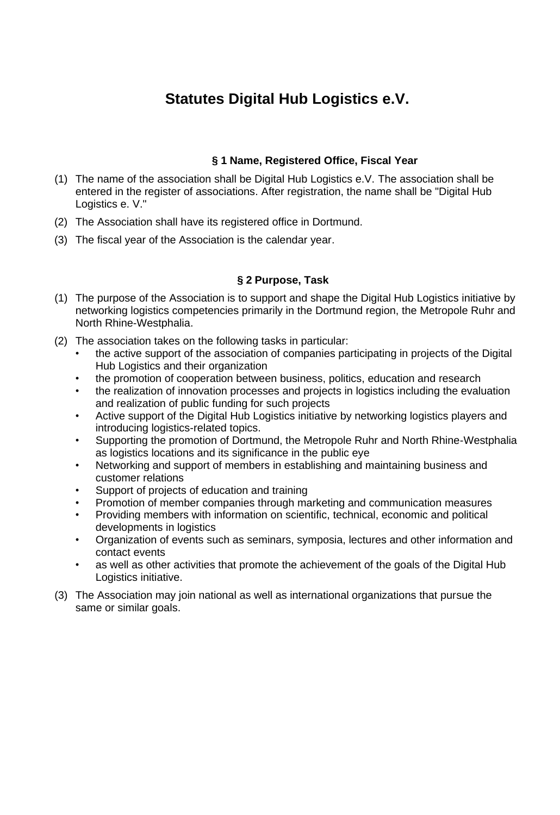# **Statutes Digital Hub Logistics e.V.**

# **§ 1 Name, Registered Office, Fiscal Year**

- (1) The name of the association shall be Digital Hub Logistics e.V. The association shall be entered in the register of associations. After registration, the name shall be "Digital Hub Logistics e. V."
- (2) The Association shall have its registered office in Dortmund.
- (3) The fiscal year of the Association is the calendar year.

## **§ 2 Purpose, Task**

- (1) The purpose of the Association is to support and shape the Digital Hub Logistics initiative by networking logistics competencies primarily in the Dortmund region, the Metropole Ruhr and North Rhine-Westphalia.
- (2) The association takes on the following tasks in particular:
	- the active support of the association of companies participating in projects of the Digital Hub Logistics and their organization
	- the promotion of cooperation between business, politics, education and research
	- the realization of innovation processes and projects in logistics including the evaluation and realization of public funding for such projects
	- Active support of the Digital Hub Logistics initiative by networking logistics players and introducing logistics-related topics.
	- Supporting the promotion of Dortmund, the Metropole Ruhr and North Rhine-Westphalia as logistics locations and its significance in the public eye
	- Networking and support of members in establishing and maintaining business and customer relations
	- Support of projects of education and training
	- Promotion of member companies through marketing and communication measures
	- Providing members with information on scientific, technical, economic and political developments in logistics
	- Organization of events such as seminars, symposia, lectures and other information and contact events
	- as well as other activities that promote the achievement of the goals of the Digital Hub Logistics initiative.
- (3) The Association may join national as well as international organizations that pursue the same or similar goals.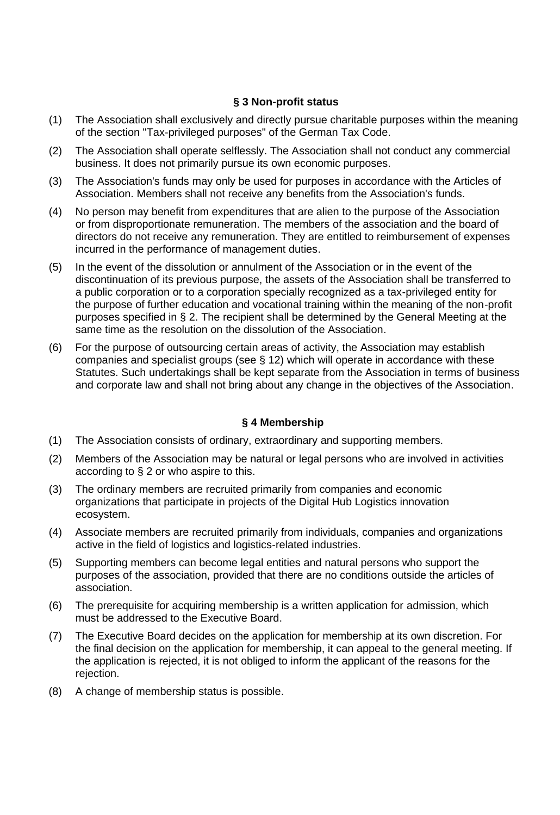## **§ 3 Non-profit status**

- (1) The Association shall exclusively and directly pursue charitable purposes within the meaning of the section "Tax-privileged purposes" of the German Tax Code.
- (2) The Association shall operate selflessly. The Association shall not conduct any commercial business. It does not primarily pursue its own economic purposes.
- (3) The Association's funds may only be used for purposes in accordance with the Articles of Association. Members shall not receive any benefits from the Association's funds.
- (4) No person may benefit from expenditures that are alien to the purpose of the Association or from disproportionate remuneration. The members of the association and the board of directors do not receive any remuneration. They are entitled to reimbursement of expenses incurred in the performance of management duties.
- (5) In the event of the dissolution or annulment of the Association or in the event of the discontinuation of its previous purpose, the assets of the Association shall be transferred to a public corporation or to a corporation specially recognized as a tax-privileged entity for the purpose of further education and vocational training within the meaning of the non-profit purposes specified in § 2. The recipient shall be determined by the General Meeting at the same time as the resolution on the dissolution of the Association.
- (6) For the purpose of outsourcing certain areas of activity, the Association may establish companies and specialist groups (see § 12) which will operate in accordance with these Statutes. Such undertakings shall be kept separate from the Association in terms of business and corporate law and shall not bring about any change in the objectives of the Association.

## **§ 4 Membership**

- (1) The Association consists of ordinary, extraordinary and supporting members.
- (2) Members of the Association may be natural or legal persons who are involved in activities according to § 2 or who aspire to this.
- (3) The ordinary members are recruited primarily from companies and economic organizations that participate in projects of the Digital Hub Logistics innovation ecosystem.
- (4) Associate members are recruited primarily from individuals, companies and organizations active in the field of logistics and logistics-related industries.
- (5) Supporting members can become legal entities and natural persons who support the purposes of the association, provided that there are no conditions outside the articles of association.
- (6) The prerequisite for acquiring membership is a written application for admission, which must be addressed to the Executive Board.
- (7) The Executive Board decides on the application for membership at its own discretion. For the final decision on the application for membership, it can appeal to the general meeting. If the application is rejected, it is not obliged to inform the applicant of the reasons for the rejection.
- (8) A change of membership status is possible.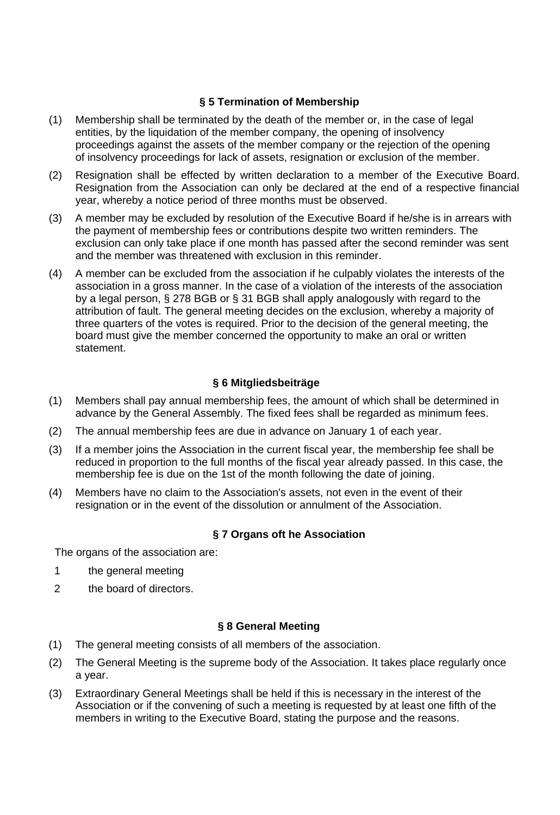## **§ 5 Termination of Membership**

- (1) Membership shall be terminated by the death of the member or, in the case of legal entities, by the liquidation of the member company, the opening of insolvency proceedings against the assets of the member company or the rejection of the opening of insolvency proceedings for lack of assets, resignation or exclusion of the member.
- (2) Resignation shall be effected by written declaration to a member of the Executive Board. Resignation from the Association can only be declared at the end of a respective financial year, whereby a notice period of three months must be observed.
- (3) A member may be excluded by resolution of the Executive Board if he/she is in arrears with the payment of membership fees or contributions despite two written reminders. The exclusion can only take place if one month has passed after the second reminder was sent and the member was threatened with exclusion in this reminder.
- (4) A member can be excluded from the association if he culpably violates the interests of the association in a gross manner. In the case of a violation of the interests of the association by a legal person, § 278 BGB or § 31 BGB shall apply analogously with regard to the attribution of fault. The general meeting decides on the exclusion, whereby a majority of three quarters of the votes is required. Prior to the decision of the general meeting, the board must give the member concerned the opportunity to make an oral or written statement.

## **§ 6 Mitgliedsbeiträge**

- (1) Members shall pay annual membership fees, the amount of which shall be determined in advance by the General Assembly. The fixed fees shall be regarded as minimum fees.
- (2) The annual membership fees are due in advance on January 1 of each year.
- (3) If a member joins the Association in the current fiscal year, the membership fee shall be reduced in proportion to the full months of the fiscal year already passed. In this case, the membership fee is due on the 1st of the month following the date of joining.
- (4) Members have no claim to the Association's assets, not even in the event of their resignation or in the event of the dissolution or annulment of the Association.

## **§ 7 Organs oft he Association**

The organs of the association are:

- 1 the general meeting
- 2 the board of directors.

#### **§ 8 General Meeting**

- (1) The general meeting consists of all members of the association.
- (2) The General Meeting is the supreme body of the Association. It takes place regularly once a year.
- (3) Extraordinary General Meetings shall be held if this is necessary in the interest of the Association or if the convening of such a meeting is requested by at least one fifth of the members in writing to the Executive Board, stating the purpose and the reasons.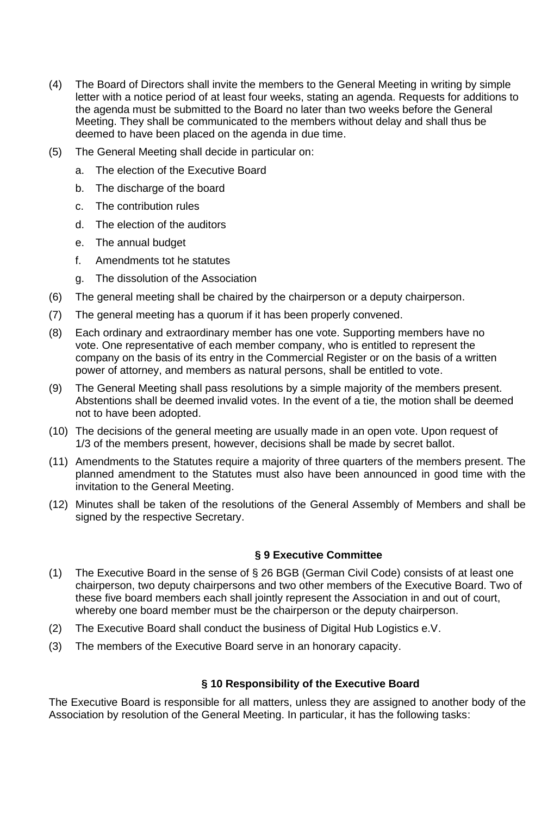- (4) The Board of Directors shall invite the members to the General Meeting in writing by simple letter with a notice period of at least four weeks, stating an agenda. Requests for additions to the agenda must be submitted to the Board no later than two weeks before the General Meeting. They shall be communicated to the members without delay and shall thus be deemed to have been placed on the agenda in due time.
- (5) The General Meeting shall decide in particular on:
	- a. The election of the Executive Board
	- b. The discharge of the board
	- c. The contribution rules
	- d. The election of the auditors
	- e. The annual budget
	- f. Amendments tot he statutes
	- g. The dissolution of the Association
- (6) The general meeting shall be chaired by the chairperson or a deputy chairperson.
- (7) The general meeting has a quorum if it has been properly convened.
- (8) Each ordinary and extraordinary member has one vote. Supporting members have no vote. One representative of each member company, who is entitled to represent the company on the basis of its entry in the Commercial Register or on the basis of a written power of attorney, and members as natural persons, shall be entitled to vote.
- (9) The General Meeting shall pass resolutions by a simple majority of the members present. Abstentions shall be deemed invalid votes. In the event of a tie, the motion shall be deemed not to have been adopted.
- (10) The decisions of the general meeting are usually made in an open vote. Upon request of 1/3 of the members present, however, decisions shall be made by secret ballot.
- (11) Amendments to the Statutes require a majority of three quarters of the members present. The planned amendment to the Statutes must also have been announced in good time with the invitation to the General Meeting.
- (12) Minutes shall be taken of the resolutions of the General Assembly of Members and shall be signed by the respective Secretary.

# **§ 9 Executive Committee**

- (1) The Executive Board in the sense of § 26 BGB (German Civil Code) consists of at least one chairperson, two deputy chairpersons and two other members of the Executive Board. Two of these five board members each shall jointly represent the Association in and out of court, whereby one board member must be the chairperson or the deputy chairperson.
- (2) The Executive Board shall conduct the business of Digital Hub Logistics e.V.
- (3) The members of the Executive Board serve in an honorary capacity.

# **§ 10 Responsibility of the Executive Board**

The Executive Board is responsible for all matters, unless they are assigned to another body of the Association by resolution of the General Meeting. In particular, it has the following tasks: